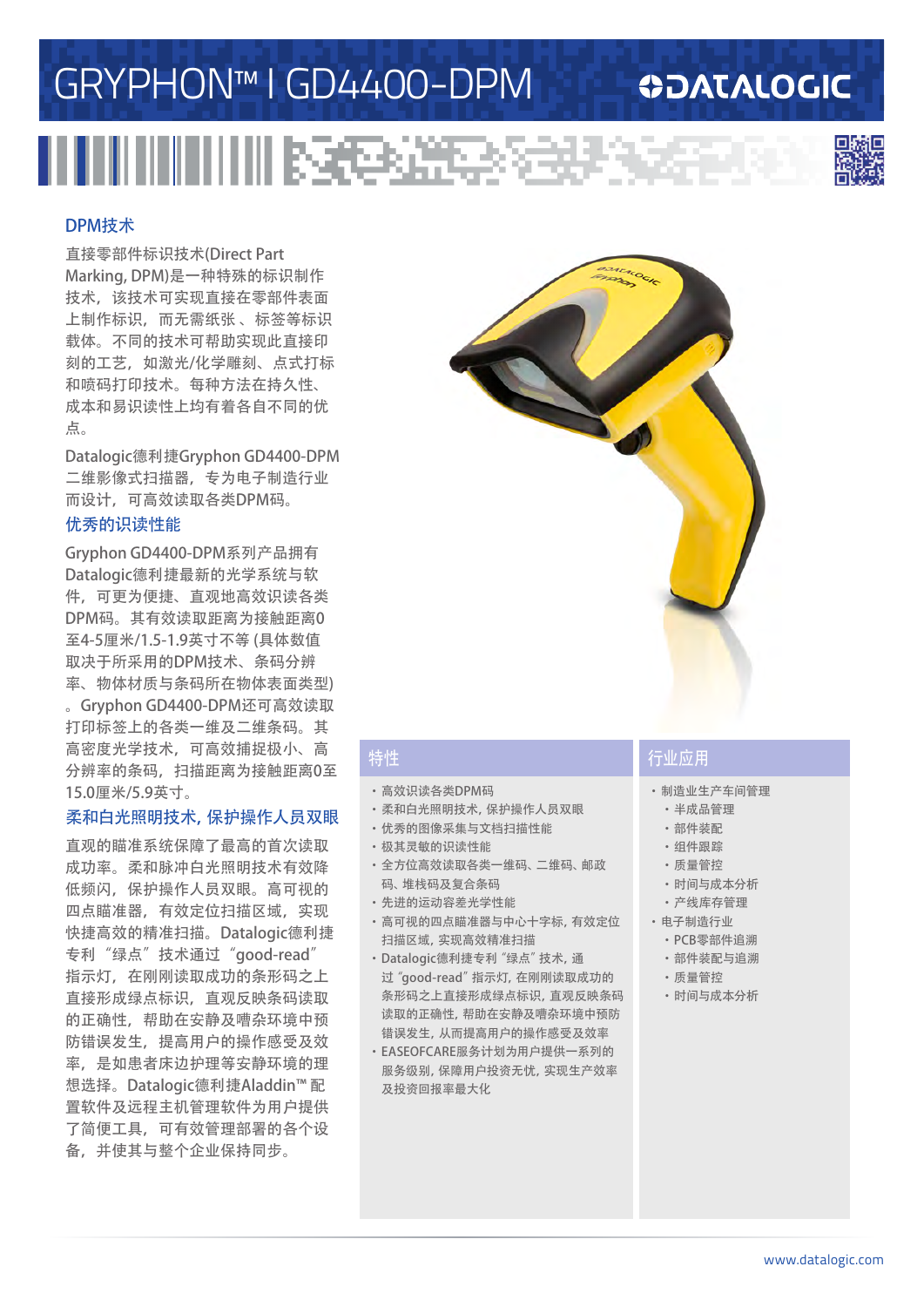# GRYPHON™ I GD4400-DPM

### **ODATALOGIC**



#### DPM技术

直接零部件标识技术(Direct Part Marking, DPM)是一种特殊的标识制作 技术,该技术可实现直接在零部件表面 上制作标识,而无需纸张 、标签等标识 载体。不同的技术可帮助实现此直接印 刻的工艺,如激光/化学雕刻、点式打标 和喷码打印技术。每种方法在持久性、 成本和易识读性上均有着各自不同的优 点。

Datalogic德利捷Gryphon GD4400-DPM 二维影像式扫描器,专为电子制造行业 而设计,可高效读取各类DPM码。

#### 优秀的识读性能

Gryphon GD4400-DPM系列产品拥有 Datalogic德利捷最新的光学系统与软 件,可更为便捷、直观地高效识读各类 DPM码。其有效读取距离为接触距离0 至4-5厘米/1.5-1.9英寸不等 (具体数值 取决于所采用的DPM技术、条码分辨 率、物体材质与条码所在物体表面类型)

。Gryphon GD4400-DPM还可高效读取 打印标签上的各类一维及二维条码。其 高密度光学技术,可高效捕捉极小、高 分辨率的条码,扫描距离为接触距离0至 15.0厘米/5.9英寸。

#### 柔和白光照明技术,保护操作人员双眼

直观的瞄准系统保障了最高的首次读取 成功率。柔和脉冲白光照明技术有效降 低频闪,保护操作人员双眼。高可视的 四点瞄准器,有效定位扫描区域,实现 快捷高效的精准扫描。Datalogic德利捷 专利"绿点"技术通过"good-read" 指示灯,在刚刚读取成功的条形码之上 直接形成绿点标识,直观反映条码读取 的正确性,帮助在安静及嘈杂环境中预 防错误发生,提高用户的操作感受及效 率,是如患者床边护理等安静环境的理 想选择。Datalogic德利捷Aladdin™ 配 置软件及远程主机管理软件为用户提供 了简便工具,可有效管理部署的各个设 备,并使其与整个企业保持同步。



- ·高效识读各类DPM码
- ·柔和白光照明技术,保护操作人员双眼
- ·优秀的图像采集与文档扫描性能
- ·极其灵敏的识读性能
- ·全方位高效读取各类一维码、二维码、邮政
- 码、堆栈码及复合条码 ·先进的运动容差光学性能
- ·高可视的四点瞄准器与中心十字标,有效定位 扫描区域,实现高效精准扫描
- ·Datalogic德利捷专利"绿点"技术,通 过"good-read"指示灯,在刚刚读取成功的 条形码之上直接形成绿点标识,直观反映条码 读取的正确性,帮助在安静及嘈杂环境中预防 错误发生,从而提高用户的操作感受及效率
- ·EASEOFCARE服务计划为用户提供一系列的 服务级别,保障用户投资无忧,实现生产效率 及投资回报率最大化

### 特性 行业应用

- ·制造业生产车间管理
- ·半成品管理
- ·部件装配
- ·组件跟踪
- ·质量管控
- ·时间与成本分析
- ·产线库存管理
- ·电子制造行业
	- ·PCB零部件追溯
	- ·部件装配与追溯
	- ·质量管控
	- ·时间与成本分析